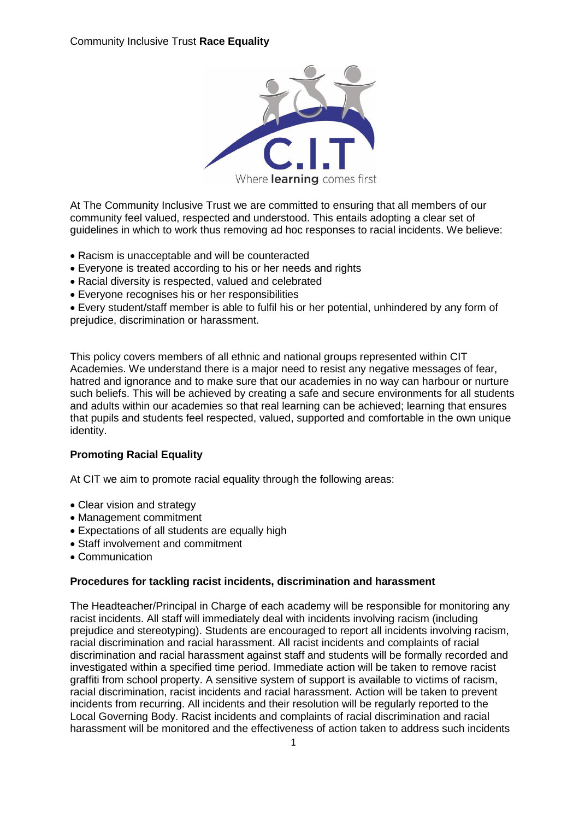

At The Community Inclusive Trust we are committed to ensuring that all members of our community feel valued, respected and understood. This entails adopting a clear set of guidelines in which to work thus removing ad hoc responses to racial incidents. We believe:

- Racism is unacceptable and will be counteracted
- Everyone is treated according to his or her needs and rights
- Racial diversity is respected, valued and celebrated
- Everyone recognises his or her responsibilities

 Every student/staff member is able to fulfil his or her potential, unhindered by any form of prejudice, discrimination or harassment.

This policy covers members of all ethnic and national groups represented within CIT Academies. We understand there is a major need to resist any negative messages of fear, hatred and ignorance and to make sure that our academies in no way can harbour or nurture such beliefs. This will be achieved by creating a safe and secure environments for all students and adults within our academies so that real learning can be achieved; learning that ensures that pupils and students feel respected, valued, supported and comfortable in the own unique identity.

### **Promoting Racial Equality**

At CIT we aim to promote racial equality through the following areas:

- Clear vision and strategy
- Management commitment
- Expectations of all students are equally high
- Staff involvement and commitment
- Communication

### **Procedures for tackling racist incidents, discrimination and harassment**

The Headteacher/Principal in Charge of each academy will be responsible for monitoring any racist incidents. All staff will immediately deal with incidents involving racism (including prejudice and stereotyping). Students are encouraged to report all incidents involving racism, racial discrimination and racial harassment. All racist incidents and complaints of racial discrimination and racial harassment against staff and students will be formally recorded and investigated within a specified time period. Immediate action will be taken to remove racist graffiti from school property. A sensitive system of support is available to victims of racism, racial discrimination, racist incidents and racial harassment. Action will be taken to prevent incidents from recurring. All incidents and their resolution will be regularly reported to the Local Governing Body. Racist incidents and complaints of racial discrimination and racial harassment will be monitored and the effectiveness of action taken to address such incidents